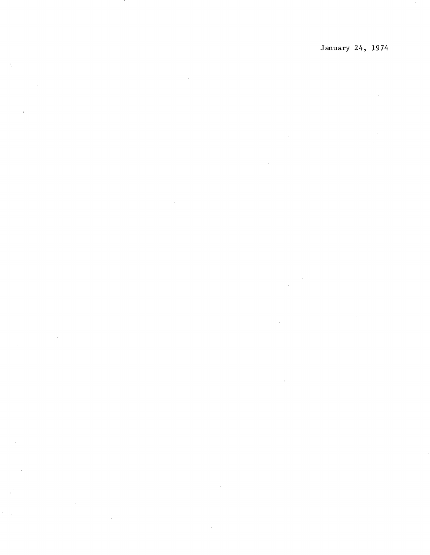January 24, 1974

 $\mathcal{L}_{\mathcal{A}}$ 

 $\ddot{\phantom{0}}$ 

 $\sim$ 

 $\mathcal{A}_{\mathcal{C}}$ 

 $\epsilon_{\rm{max}}$ 

 $\bar{a}$ 

 $\hat{\mathcal{S}}$  $\sim$   $\sim$  $\mathbb{R}^2$ 

 $\frac{1}{\sqrt{2}}$ 

 $\label{eq:2.1} \frac{1}{\sqrt{2}}\int_{\mathbb{R}^3} \left|\frac{d\mathbf{x}}{d\mathbf{x}}\right|^2 \, d\mathbf{x} \, d\mathbf{x} \, d\mathbf{x} \, d\mathbf{x} \, d\mathbf{x} \, d\mathbf{x} \, d\mathbf{x} \, d\mathbf{x} \, d\mathbf{x} \, d\mathbf{x} \, d\mathbf{x} \, d\mathbf{x} \, d\mathbf{x} \, d\mathbf{x} \, d\mathbf{x} \, d\mathbf{x} \, d\mathbf{x} \, d\mathbf{x} \, d\mathbf{x} \, d\mathbf{x} \, d\mathbf{x$ 

 $\sim 10^{-10}$  $\sim$ 

 $\sim 10^6$  $\sim$   $\sim$ 

 $\sim 10^{-1}$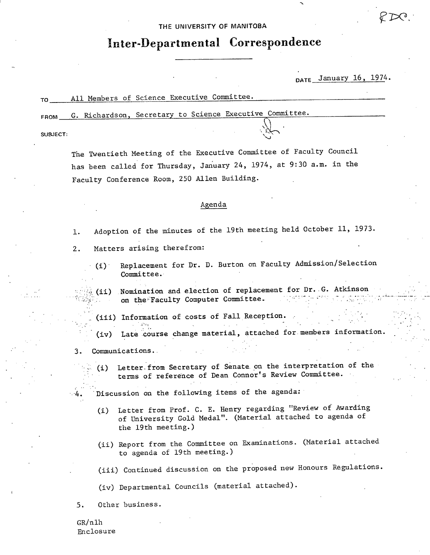THE UNIVERSITY **OF MANITOBA** 

# **Inter-Departmental Correspondence**

DATE January 16, 1974.

FROM **G. Richardson, Secretary to Science Executive Committee.** 

SUBJECT:

The Twentieth Meeting of the Executive Committee of Faculty Council has been called for Thursday, January 24, 1974, at 9:30 a.m. in the Faculty Conference Room, 250 Allen Building.

### Agenda

- Adoption of the minutes of the 19th meeting held October 11, 1973. 1.
- Matters arising therefrom:  $2.$ 
	- (i) Replacement for Dr. D. Burton on Faculty Admission/Selection Committee.

Nomination and election of replacement for Dr. G. Atkinson  $\in$  (ii) on the Faculty Computer Committee.

(iii) Information of costs of Fall Reception.

**Late course** change material, attached for.members information. ..

- 3. CommunicationS.. :
	- (i) Letter-from Secretary of Senate. on the interpretation of the terms of reference of Dean Connor's Review Committee.
- 4. Discussion on the following items of the agenda:
	- Letter from Prof. C. E. Henry regarding "Review of Awarding  $(i)$ of University Gold Medal". (Material attached to agenda of the 19th meeting.)
	- (ii) Report from the Committee on Examinations. (Material attached to agenda of 19th meeting.)

(iii) Continued discussion on the proposed new Honours Regulations.

(iv) Departmental Councils (material attached).

5. Other business.

GR/nlh Enclosure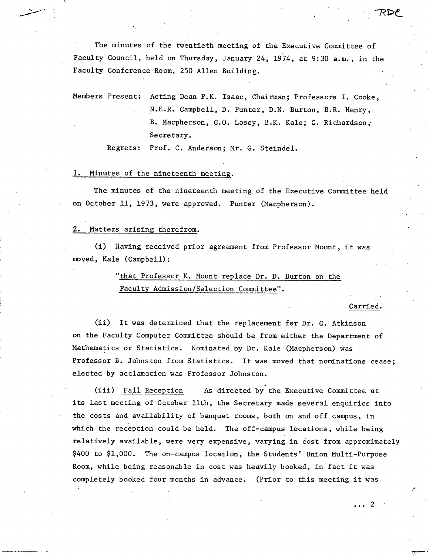The minutes of the twentieth meeting of the Executive Committee of Faculty Council, held on Thursday, January 24, 1974, at 9:30 a.m., in the Faculty Conference Room, 250 Allen Building.

Members Present: Acting Dean P.K. Isaac, Chairman; Professors I. Cooke, N.E.R. Campbell, D. Punter, D.N. Burton, B.R. Henry, B. Macpherson, G.O. Losey, B.K. Kale; G. Richardson, Secretary.

Regrets: Prof. C. Anderson; Mr. G. Steindel.

### Minutes of the nineteenth meeting.

The minutes of the nineteenth meeting of the Executive Committee held on October 11, 1973, were approved. Punter (Macpherson).

### 2. Matters arising therefrom.

(i) Having received prior agreement from Professor Mount, it was moved, Kale (Campbell):

### "that Professor K. Mount replace Dr. D. Burton on the Faculty Admission/Selection Committee".

#### Carried.

 $\ldots$  2  $\ldots$ 

 $(ii)$ It was determined that the replacement for Dr. G. Atkinson on the Faculty Computer Committee should be from either the Department of Mathematics or Statistics. Nominated by Dr. Kale (Macpherson) was Professor B. Johnston from Statistics. It was moved that nominations cease; elected by acclamation was Professor Johnston.

 $(iii)$ Fall Reception As directed by the Executive Committee at its last meeting of October 11th, the Secretary made several enquiries into the costs and availability of banquet rooms, both on and off campus, in which the reception could be held. The off-campus locations, while being relatively available, were very expensive, varying in cost from approximately \$400 to \$1,000. The on-campus location, the Students' Union Multi-Purpose Room, while being reasonable in cost was heavily booked, in fact it was completely booked four months in advance. (Prior to this meeting it was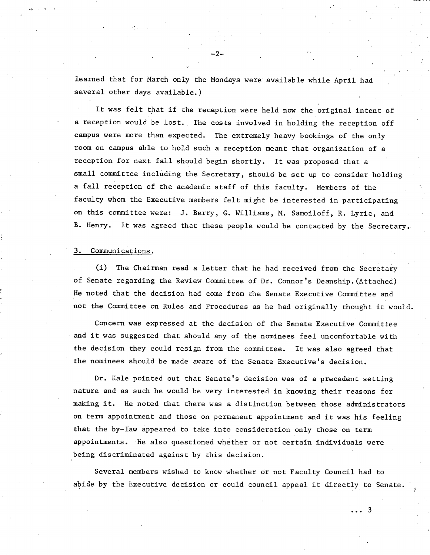learned that for March only the Mondays were available while April had several other days available.)

It was felt that if the reception were held now the original intent of a reception would be lost. The costs involved in holding the reception off campus were more than expected. The extremely heavy bookings of the only room on campus able to hold such a reception meant that organization of a reception for next fall should begin shortly. It was proposed that a small committee including the Secretary, should be set up to consider holding a fall reception of the academic staff of this faculty. Members of the faculty whom the Executive members felt might be interested in participating on this committee were: J. Berry, G. Williams, M. Samoiloff, R. Lyric, and B. Henry. It was agreed that these people would be contacted by the Secretary.

### 3. Communications.

(1) The Chairman read a letter that he had received from the Secretary of Senate regarding the Review Committee of Dr. Connor's Deanship.(Attached) He noted that the decision had come from the Senate Executive Committee and not the Committee on Rules and Procedures as he had originally thought it would.

Concern was expressed at the decision of the Senate Executive Committee and it was suggested that should any of the nominees feel uncomfortable with the decision they could resign from the committee. It was also agreed that the nominees should be made aware of the Senate Executive's decision.

Dr. Kale pointed out that Senate's decision was of a precedent setting nature and as such he would be very interested in knowing their reasons for making it. He noted that there was a distinction between those administrators on term appointment and those on permanent appointment and it was his feeling that the by-law appeared to take into consideration only those on term appointments. He also questioned whether or not certain individuals were being discriminated against by this decision.

Several members wished to know whether or not Faculty Council had to abide by the Executive decision or could council appeal it directly to Senate.

્વ

-2-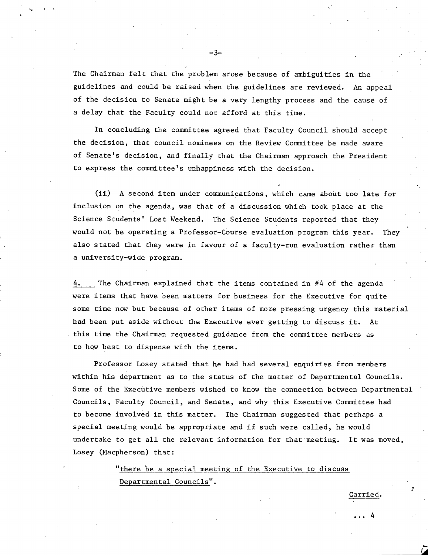The Chairman felt that the problem arose because of ambiguities in the guidelines and could be raised when the guidelines are reviewed. An appeal of the decision to Senate might be a very lengthy process and the cause of a delay that the Faculty could not afford at this time.

- 3-

In concluding the committee agreed that Faculty Council should accept the decision, that council nominees on the Review Committee be made aware of Senate's decision, and finally that the Chairman approach the President to express the committee's unhappiness with the decision.

(ii) A second item under communications, which came about too late for inclusion on the agenda, was that of a discussion which took place at the Science Students' Lost Weekend. The Science Students reported that they would not be operating a Professor-Course evaluation program this year. They also stated that they were in favour of a faculty-run evaluation rather than a university-wide program.

4. The Chairman explained that the items contained in #4 of the agenda were items that have been matters for business for the Executive for quite some time now but because of other items of more pressing urgency this material had been put aside without the Executive ever getting to discuss it. At this time the Chairman requested guidance from the committee members as to how best to dispense with the items.

Professor Losey stated that he had had several enquiries from members within his department as to the status of the matter of Departmental Councils. Some of the Executive members wished to know the connection between Departmental Councils, Faculty Council, and Senate, and why this Executive Committee had to become involved in this matter. The Chairman suggested that perhaps a special meeting would be appropriate and if such were called, he would undertake to get all the relevant information for that meeting. It was moved, Losey (Macpherson) that:

> "there be a special meeting of the Executive to discuss Departmental Councils".

arried.

... 4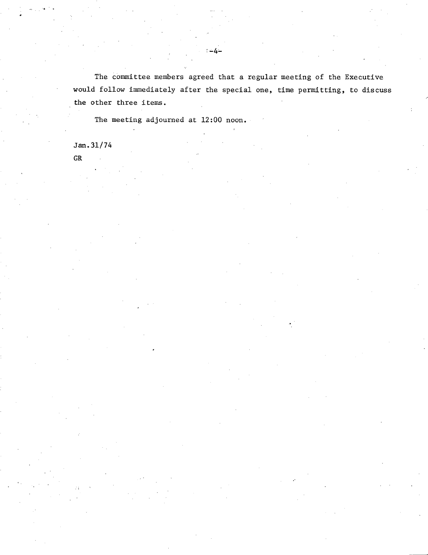The committee members agreed that a regular meeting of the Executive would follow immediately after the special one, time permitting, to discuss the other three items.

The meeting adjourned at 12:00 noon.

Jan. 31/74

GR